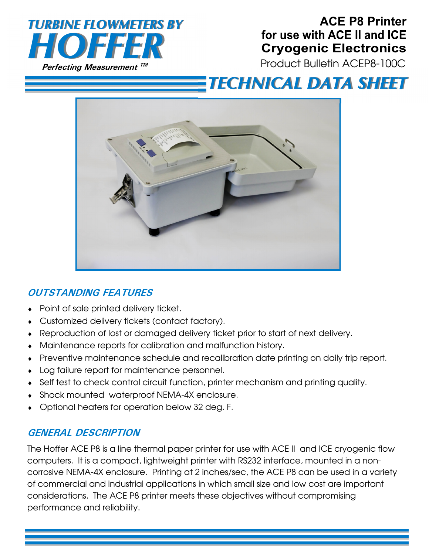

## **ACE P8 Printer**  for use with ACE II and ICE **Cryogenic Electronics**

Product Bulletin ACEP8-100C

# **TECHNICAL DATA SHEET**



## **OUTSTANDING FEATURES**

- Point of sale printed delivery ticket.
- Customized delivery tickets (contact factory).
- Reproduction of lost or damaged delivery ticket prior to start of next delivery.
- Maintenance reports for calibration and malfunction history.
- Preventive maintenance schedule and recalibration date printing on daily trip report.
- Log failure report for maintenance personnel.
- Self test to check control circuit function, printer mechanism and printing quality.
- Shock mounted waterproof NEMA-4X enclosure.
- Optional heaters for operation below 32 deg. F.

### **GENERAL DESCRIPTION**

The Hoffer ACE P8 is a line thermal paper printer for use with ACE II and ICE cryogenic flow computers. It is a compact, lightweight printer with RS232 interface, mounted in a noncorrosive NEMA-4X enclosure. Printing at 2 inches/sec, the ACE P8 can be used in a variety of commercial and industrial applications in which small size and low cost are important considerations. The ACE P8 printer meets these objectives without compromising performance and reliability.